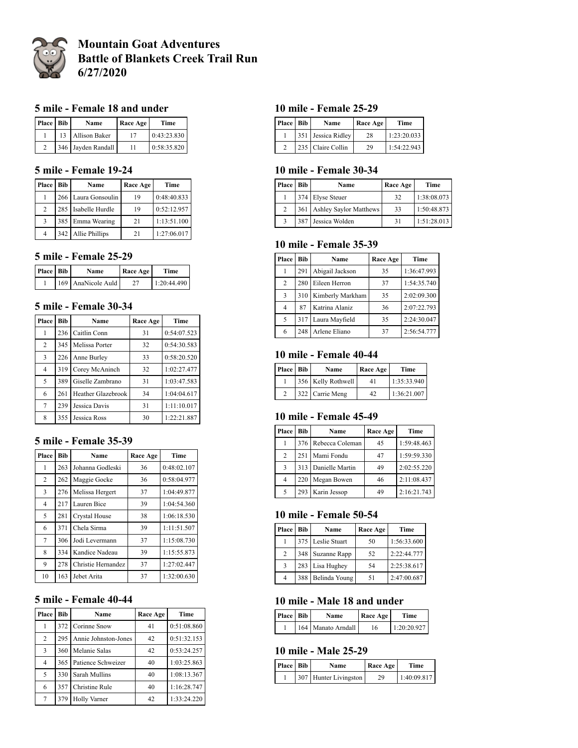

# **Mountain Goat Adventures Battle of Blankets Creek Trail Run 6/27/2020**

## **5 mile - Female 18 and under**

| Place Bib | Name                 | Race Age | Time        |
|-----------|----------------------|----------|-------------|
|           | <b>Allison Baker</b> |          | 0:43:23.830 |
|           | 346 Jayden Randall   |          | 0:58:35.820 |

### **5 mile - Female 19-24**

| Place          | Bib | Name                | Race Age | Time        |
|----------------|-----|---------------------|----------|-------------|
|                |     | 266 Laura Gonsoulin | 19       | 0:48:40.833 |
| $\overline{c}$ |     | 285 Isabelle Hurdle | 19       | 0:52:12.957 |
| 3              |     | 385 Emma Wearing    | 21       | 1:13:51.100 |
| 4              |     | 342 Allie Phillips  | 21       | 1:27:06.017 |

### **5 mile - Female 25-29**

| <b>Place Bib</b> | Name               | <b>Race Age</b> | Time        |
|------------------|--------------------|-----------------|-------------|
|                  | 169 AnaNicole Auld |                 | 1:20:44.490 |

## **5 mile - Female 30-34**

| Place          | Bib | Name               | Race Age | Time        |
|----------------|-----|--------------------|----------|-------------|
| 1              | 236 | Caitlin Conn       | 31       | 0:54:07.523 |
| $\overline{2}$ | 345 | Melissa Porter     | 32       | 0:54:30.583 |
| 3              | 226 | Anne Burley        | 33       | 0:58:20.520 |
| $\overline{4}$ | 319 | Corey McAninch     | 32       | 1:02:27.477 |
| 5              | 389 | Giselle Zambrano   | 31       | 1:03:47.583 |
| 6              | 261 | Heather Glazebrook | 34       | 1:04:04.617 |
| 7              | 239 | Jessica Davis      | 31       | 1:11:10.017 |
| 8              | 355 | Jessica Ross       | 30       | 1:22:21.887 |

#### **5 mile - Female 35-39**

| Place | <b>Bib</b> | Name               | Race Age | Time        |
|-------|------------|--------------------|----------|-------------|
| 1     | 263        | Johanna Godleski   | 36       | 0:48:02.107 |
| 2     | 262        | Maggie Gocke       | 36       | 0:58:04.977 |
| 3     | 276        | Melissa Hergert    | 37       | 1:04:49.877 |
| 4     | 217        | Lauren Bice        | 39       | 1:04:54.360 |
| 5     | 281        | Crystal House      | 38       | 1:06:18.530 |
| 6     | 371        | Chela Sirma        | 39       | 1:11:51.507 |
| 7     | 306        | Jodi Levermann     | 37       | 1:15:08.730 |
| 8     | 334        | Kandice Nadeau     | 39       | 1:15:55.873 |
| 9     | 278        | Christie Hernandez | 37       | 1:27:02.447 |
| 10    | 163        | Jebet Arita        | 37       | 1:32:00.630 |

## **5 mile - Female 40-44**

| Place          | <b>Bib</b> | Name                 | Race Age | Time        |
|----------------|------------|----------------------|----------|-------------|
| 1              | 372        | Corinne Snow         | 41       | 0:51:08.860 |
| $\overline{c}$ | 295        | Annie Johnston-Jones | 42       | 0:51:32.153 |
| 3              | 360        | Melanie Salas        | 42       | 0:53:24.257 |
| 4              | 365        | Patience Schweizer   | 40       | 1:03:25.863 |
| 5              | 330        | Sarah Mullins        | 40       | 1:08:13.367 |
| 6              | 357        | Christine Rule       | 40       | 1:16:28.747 |
| 7              | 379        | <b>Holly Varner</b>  | 42       | 1:33:24.220 |

### **10 mile - Female 25-29**

| Place Bib | Name               | Race Age | Time        |
|-----------|--------------------|----------|-------------|
|           | 351 Jessica Ridley | 28       | 1:23:20.033 |
|           | 235 Claire Collin  | 29       | 1:54:22.943 |

#### **10 mile - Female 30-34**

| <b>Place</b> | Bib | Name                          | Race Age | Time        |
|--------------|-----|-------------------------------|----------|-------------|
|              |     | 374 Elyse Steuer              | 32       | 1:38:08.073 |
|              | 361 | <b>Ashley Saylor Matthews</b> | 33       | 1:50:48.873 |
|              | 387 | Jessica Wolden                | -31      | 1:51:28.013 |

## **10 mile - Female 35-39**

| Place | Bib | Name             | Race Age | Time        |
|-------|-----|------------------|----------|-------------|
|       | 291 | Abigail Jackson  | 35       | 1:36:47.993 |
| 2     | 280 | Eileen Herron    | 37       | 1:54:35.740 |
| 3     | 310 | Kimberly Markham | 35       | 2:02:09.300 |
| 4     | 87  | Katrina Alaniz   | 36       | 2:07:22.793 |
| 5     | 317 | Laura Mayfield   | 35       | 2:24:30.047 |
| 6     | 248 | Arlene Eliano    | 37       | 2:56:54.777 |

## **10 mile - Female 40-44**

| Place Bib | Name               | Race Age | Time        |
|-----------|--------------------|----------|-------------|
|           | 356 Kelly Rothwell | 41       | 1:35:33.940 |
|           | 322 Carrie Meng    | 42       | 1:36:21.007 |

#### **10 mile - Female 45-49**

| Place | Bib | Name                | Race Age | Time        |
|-------|-----|---------------------|----------|-------------|
|       |     | 376 Rebecca Coleman | 45       | 1:59:48.463 |
| 2     |     | 251 Mami Fondu      | 47       | 1:59:59.330 |
| 3     |     | 313 Danielle Martin | 49       | 2:02:55.220 |
| 4     | 220 | Megan Bowen         | 46       | 2:11:08.437 |
| 5     | 293 | Karin Jessop        | 49       | 2:16:21.743 |

#### **10 mile - Female 50-54**

| <b>Place</b> | Bib | Name              | Race Age | Time        |
|--------------|-----|-------------------|----------|-------------|
|              |     | 375 Leslie Stuart | 50       | 1:56:33.600 |
| 2            | 348 | Suzanne Rapp      | 52       | 2:22:44.777 |
| 3            |     | 283 Lisa Hughey   | 54       | 2:25:38.617 |
| 4            | 388 | Belinda Young     | 51       | 2:47:00.687 |

### **10 mile - Male 18 and under**

| <b>Place Bib</b> | Name               | Race Age | <b>Time</b> |
|------------------|--------------------|----------|-------------|
|                  | 164 Manato Arndall | 16       | 1:20:20.927 |

#### **10 mile - Male 25-29**

| Place Bib | Name                  | Race Age | Time        |
|-----------|-----------------------|----------|-------------|
|           | 307 Hunter Livingston | 29       | 1:40:09.817 |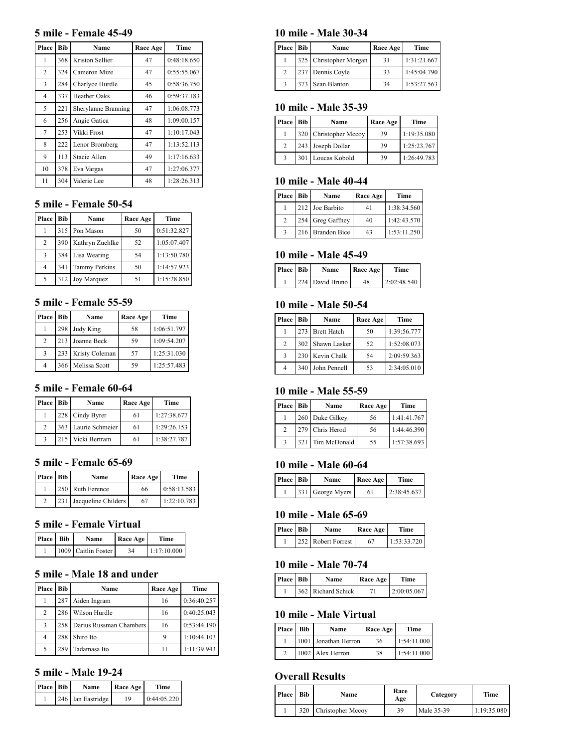#### **5 mile - Female 45-49**

| Place | <b>Bib</b> | Name                | Race Age | Time        |
|-------|------------|---------------------|----------|-------------|
| 1     | 368        | Kriston Sellier     | 47       | 0:48:18.650 |
| 2     | 324        | Cameron Mize        | 47       | 0:55:55.067 |
| 3     | 284        | Charlyce Hurdle     | 45       | 0:58:36.750 |
| 4     | 337        | Heather Oaks        | 46       | 0:59:37.183 |
| 5     | 221        | Sherylanne Branning | 47       | 1:06:08.773 |
| 6     | 256        | Angie Gatica        | 48       | 1:09:00.157 |
| 7     | 253        | Vikki Frost         | 47       | 1:10:17.043 |
| 8     | 222        | Lenor Bromberg      | 47       | 1:13:52.113 |
| 9     | 113        | Stacie Allen        | 49       | 1:17:16.633 |
| 10    | 378        | Eva Vargas          | 47       | 1:27:06.377 |
| 11    | 304        | Valerie Lee         | 48       | 1:28:26.313 |

## **5 mile - Female 50-54**

| Place          | <b>Bib</b> | Name                 | Race Age | Time        |
|----------------|------------|----------------------|----------|-------------|
|                |            | 315 Pon Mason        | 50       | 0:51:32.827 |
| 2              | 390        | Kathryn Zuehlke      | 52       | 1:05:07.407 |
| 3              | 384        | Lisa Wearing         | 54       | 1:13:50.780 |
| $\overline{4}$ | 341        | <b>Tammy Perkins</b> | 50       | 1:14:57.923 |
| 5              | 312        | Joy Marquez          | 51       | 1:15:28.850 |

### **5 mile - Female 55-59**

| <b>Place</b>   | Bib | Name           | Race Age | Time        |
|----------------|-----|----------------|----------|-------------|
|                | 298 | Judy King      | 58       | 1:06:51.797 |
| $\mathfrak{D}$ | 213 | Joanne Beck    | 59       | 1:09:54.207 |
| 3              | 233 | Kristy Coleman | 57       | 1:25:31.030 |
| $\overline{4}$ | 366 | Melissa Scott  | 59       | 1:25:57.483 |

## **5 mile - Female 60-64**

| Place Bib      | Name                | Race Age | Time        |
|----------------|---------------------|----------|-------------|
|                | 228 Cindy Byrer     | 61       | 1:27:38.677 |
| $\mathfrak{D}$ | 363 Laurie Schmeier | 61       | 1:29:26.153 |
| 3              | 215 Vicki Bertram   | 61       | 1:38:27.787 |

#### **5 mile - Female 65-69**

| Place Bib |     | Name                | Race Age | Time        |
|-----------|-----|---------------------|----------|-------------|
|           |     | 250 Ruth Ference    | 66       | 0:58:13.583 |
|           | 231 | Jacqueline Childers | 67       | 1:22:10.783 |

#### **5 mile - Female Virtual**

| <b>Place</b> Bib | Name                | Race Age | Time        |
|------------------|---------------------|----------|-------------|
|                  | 1009 Caitlin Foster | 34       | 1:17:10.000 |

#### **5 mile - Male 18 and under**

| Place | Bib | Name                          | Race Age | Time        |
|-------|-----|-------------------------------|----------|-------------|
|       | 287 | Aiden Ingram                  | 16       | 0:36:40.257 |
| 2     | 286 | Wilson Hurdle                 | 16       | 0:40:25.043 |
| 3     |     | 258   Darius Russman Chambers | 16       | 0:53:44.190 |
| 4     | 288 | Shiro Ito                     | 9        | 1:10:44.103 |
| 5     | 289 | Tadamasa Ito                  | 11       | 1:11:39.943 |

## **5 mile - Male 19-24**

| Place Bib | <b>Name</b>       | Race Age | <b>Time</b> |
|-----------|-------------------|----------|-------------|
|           | 246 Ian Eastridge | 19       | 0:44:05.220 |

## **10 mile - Male 30-34**

| <b>Place</b> | <b>Bib</b> | Name                   | Race Age | Time        |
|--------------|------------|------------------------|----------|-------------|
|              |            | 325 Christopher Morgan | -31      | 1:31:21.667 |
|              |            | 237 Dennis Coyle       | 33       | 1:45:04.790 |
|              |            | 373 Sean Blanton       | 34       | 1:53:27.563 |

#### **10 mile - Male 35-39**

| Place Bib     |     | Name                  | Race Age | Time        |
|---------------|-----|-----------------------|----------|-------------|
|               |     | 320 Christopher Mccoy | 39       | 1:19:35.080 |
| $\mathcal{D}$ |     | 243 Joseph Dollar     | 39       | 1:25:23.767 |
|               | 301 | Loucas Kobold         | 39       | 1:26:49.783 |

#### **10 mile - Male 40-44**

| Place Bib     | Name             | Race Age | Time        |
|---------------|------------------|----------|-------------|
|               | 212 Joe Barbito  | 41       | 1:38:34.560 |
| $\mathcal{L}$ | 254 Greg Gaffney | 40       | 1:42:43.570 |
|               | 216 Brandon Bice | 43       | 1:53:11.250 |

## **10 mile - Male 45-49**

| Place Bib | Name            | Race Age | Time        |
|-----------|-----------------|----------|-------------|
|           | 224 David Bruno | 48       | 2:02:48.540 |

#### **10 mile - Male 50-54**

| <b>Place</b> Bib |     | Name             | Race Age | Time        |
|------------------|-----|------------------|----------|-------------|
|                  |     | 273 Brett Hatch  | 50       | 1:39:56.777 |
| 2                |     | 302 Shawn Lasker | 52       | 1:52:08.073 |
| 3                |     | 230 Kevin Chalk  | 54       | 2:09:59.363 |
|                  | 340 | John Pennell     | 53       | 2:34:05.010 |

## **10 mile - Male 55-59**

| Place Bib     |     | Name            | Race Age | Time        |
|---------------|-----|-----------------|----------|-------------|
|               |     | 260 Duke Gilkey | 56       | 1:41:41.767 |
| $\mathcal{L}$ |     | 279 Chris Herod | 56       | 1:44:46.390 |
|               | 321 | Tim McDonald    | 55       | 1:57:38.693 |

### **10 mile - Male 60-64**

| <b>Place</b> Bib | Name             | Race Age | Time        |
|------------------|------------------|----------|-------------|
|                  | 331 George Myers | 61       | 2:38:45.637 |

#### **10 mile - Male 65-69**

| Place Bib | Name               | Race Age | Time        |
|-----------|--------------------|----------|-------------|
|           | 252 Robert Forrest | 67       | 1:53:33.720 |

### **10 mile - Male 70-74**

| Place Bib | <b>Name</b>        | <b>Race Age</b> | Time        |
|-----------|--------------------|-----------------|-------------|
|           | 362 Richard Schick |                 | 2:00:05.067 |

#### **10 mile - Male Virtual**

| Place Bib | Name                 | Race Age | Time        |
|-----------|----------------------|----------|-------------|
|           | 1001 Jonathan Herron | 36       | 1:54:11.000 |
|           | 1002 Alex Herron     | 38       | 1:54:11.000 |

## **Overall Results**

| Place | Bib | Name              | Race<br>Age | Category   | Time        |
|-------|-----|-------------------|-------------|------------|-------------|
|       | 320 | Christopher Mccov | 39          | Male 35-39 | 1:19:35.080 |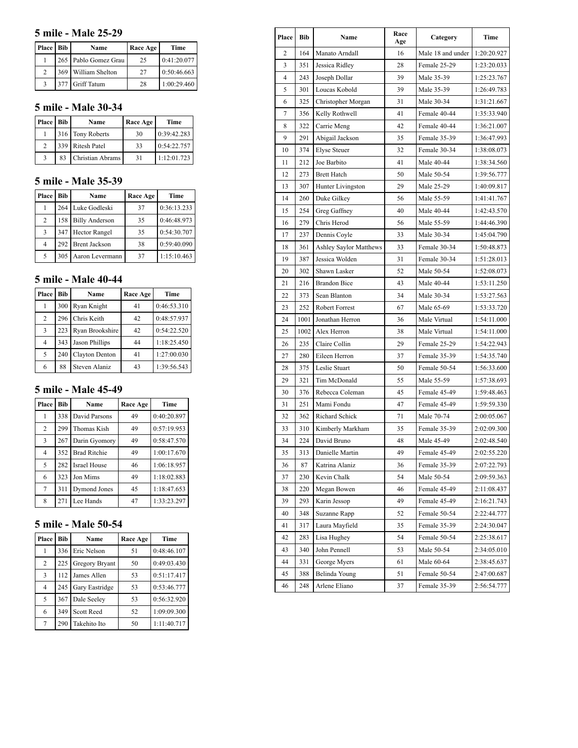## **5 mile - Male 25-29**

| Place Bib | Name                   | Race Age | Time        |
|-----------|------------------------|----------|-------------|
|           | 265   Pablo Gomez Grau | 25       | 0:41:20.077 |
|           | 369 William Shelton    | 27       | 0:50:46.663 |
|           | 377 Griff Tatum        | 28       | 1:00:29.460 |

## **5 mile - Male 30-34**

| Place         | Bib | Name             | Race Age | Time        |
|---------------|-----|------------------|----------|-------------|
|               |     | 316 Tony Roberts | 30       | 0:39:42.283 |
| $\mathcal{L}$ |     | 339 Ritesh Patel | 33       | 0:54:22.757 |
|               | 83  | Christian Abrams | 31       | 1:12:01.723 |

## **5 mile - Male 35-39**

| Place | Bib | Name                  | Race Age | Time        |
|-------|-----|-----------------------|----------|-------------|
|       |     | 264 Luke Godleski     | 37       | 0:36:13.233 |
| 2     | 158 | <b>Billy Anderson</b> | 35       | 0:46:48.973 |
| 3     | 347 | <b>Hector Rangel</b>  | 35       | 0:54:30.707 |
| 4     |     | 292 Brent Jackson     | 38       | 0:59:40.090 |
| 5     | 305 | Aaron Levermann       | 37       | 1:15:10.463 |

## **5 mile - Male 40-44**

| Place | Bib | Name            | Race Age | Time        |
|-------|-----|-----------------|----------|-------------|
|       | 300 | Ryan Knight     | 41       | 0:46:53.310 |
| 2     | 296 | Chris Keith     | 42       | 0:48:57.937 |
| 3     | 223 | Ryan Brookshire | 42       | 0:54:22.520 |
| 4     | 343 | Jason Phillips  | 44       | 1:18:25.450 |
| 5     | 240 | Clayton Denton  | 41       | 1:27:00.030 |
| 6     | 88  | Steven Alaniz   | 43       | 1:39:56.543 |

## **5 mile - Male 45-49**

| Place          | <b>Bib</b> | Name                | Race Age | Time        |
|----------------|------------|---------------------|----------|-------------|
| 1              | 338        | David Parsons       | 49       | 0:40:20.897 |
| $\overline{c}$ | 299        | Thomas Kish         | 49       | 0:57:19.953 |
| 3              | 267        | Darin Gyomory       | 49       | 0:58:47.570 |
| $\overline{4}$ | 352        | <b>Brad Ritchie</b> | 49       | 1:00:17.670 |
| 5              | 282        | <b>Israel House</b> | 46       | 1:06:18.957 |
| 6              | 323        | Jon Mims            | 49       | 1:18:02.883 |
| 7              | 311        | Dymond Jones        | 45       | 1:18:47.653 |
| 8              | 271        | Lee Hands           | 47       | 1:33:23.297 |

# **5 mile - Male 50-54**

| Place          | <b>Bib</b> | Name              | Race Age | Time        |
|----------------|------------|-------------------|----------|-------------|
|                | 336        | Eric Nelson       | 51       | 0:48:46.107 |
| $\overline{c}$ | 225        | Gregory Bryant    | 50       | 0:49:03.430 |
| 3              | 112        | James Allen       | 53       | 0:51:17.417 |
| $\overline{4}$ | 245        | Gary Eastridge    | 53       | 0:53:46.777 |
| 5              | 367        | Dale Seeley       | 53       | 0:56:32.920 |
| 6              | 349        | <b>Scott Reed</b> | 52       | 1:09:09.300 |
| 7              | 290        | Takehito Ito      | 50       | 1:11:40.717 |

| Place | Bib  | Name                          | Race<br>Age | Category          | Time        |
|-------|------|-------------------------------|-------------|-------------------|-------------|
| 2     | 164  | Manato Arndall                | 16          | Male 18 and under | 1:20:20.927 |
| 3     | 351  | Jessica Ridley                | 28          | Female 25-29      | 1:23:20.033 |
| 4     | 243  | Joseph Dollar                 | 39          | Male 35-39        | 1:25:23.767 |
| 5     | 301  | Loucas Kobold                 | 39          | Male 35-39        | 1:26:49.783 |
| 6     | 325  | Christopher Morgan            | 31          | Male 30-34        | 1:31:21.667 |
| 7     | 356  | Kelly Rothwell                | 41          | Female 40-44      | 1:35:33.940 |
| 8     | 322  | Carrie Meng                   | 42          | Female 40-44      | 1:36:21.007 |
| 9     | 291  | Abigail Jackson               | 35          | Female 35-39      | 1:36:47.993 |
| 10    | 374  | <b>Elyse Steuer</b>           | 32          | Female 30-34      | 1:38:08.073 |
| 11    | 212  | Joe Barbito                   | 41          | Male 40-44        | 1:38:34.560 |
| 12    | 273  | <b>Brett Hatch</b>            | 50          | Male 50-54        | 1:39:56.777 |
| 13    | 307  | Hunter Livingston             | 29          | Male 25-29        | 1:40:09.817 |
| 14    | 260  | Duke Gilkey                   | 56          | Male 55-59        | 1:41:41.767 |
| 15    | 254  | Greg Gaffney                  | 40          | Male 40-44        | 1:42:43.570 |
| 16    | 279  | Chris Herod                   | 56          | Male 55-59        | 1:44:46.390 |
| 17    | 237  | Dennis Coyle                  | 33          | Male 30-34        | 1:45:04.790 |
| 18    | 361  | <b>Ashley Saylor Matthews</b> | 33          | Female 30-34      | 1:50:48.873 |
| 19    | 387  | Jessica Wolden                | 31          | Female 30-34      | 1:51:28.013 |
| 20    | 302  | Shawn Lasker                  | 52          | Male 50-54        | 1:52:08.073 |
| 21    | 216  | <b>Brandon Bice</b>           | 43          | Male 40-44        | 1:53:11.250 |
| 22    | 373  | Sean Blanton                  | 34          | Male 30-34        | 1:53:27.563 |
| 23    | 252  | Robert Forrest                | 67          | Male 65-69        | 1:53:33.720 |
| 24    | 1001 | Jonathan Herron               | 36          | Male Virtual      | 1:54:11.000 |
| 25    | 1002 | Alex Herron                   | 38          | Male Virtual      | 1:54:11.000 |
| 26    | 235  | Claire Collin                 | 29          | Female 25-29      | 1:54:22.943 |
| 27    | 280  | Eileen Herron                 | 37          | Female 35-39      | 1:54:35.740 |
| 28    | 375  | Leslie Stuart                 | 50          | Female 50-54      | 1:56:33.600 |
| 29    | 321  | Tim McDonald                  | 55          | Male 55-59        | 1:57:38.693 |
| 30    | 376  | Rebecca Coleman               | 45          | Female 45-49      | 1:59:48.463 |
| 31    | 251  | Mami Fondu                    | 47          | Female 45-49      | 1:59:59.330 |
| 32    | 362  | Richard Schick                | 71          | Male 70-74        | 2:00:05.067 |
| 33    | 310  | Kimberly Markham              | 35          | Female 35-39      | 2:02:09.300 |
| 34    | 224  | David Bruno                   | 48          | Male 45-49        | 2:02:48.540 |
| 35    | 313  | Danielle Martin               | 49          | Female 45-49      | 2:02:55.220 |
| 36    | 87   | Katrina Alaniz                | 36          | Female 35-39      | 2:07:22.793 |
| 37    | 230  | Kevin Chalk                   | 54          | Male 50-54        | 2:09:59.363 |
| 38    | 220  | Megan Bowen                   | 46          | Female 45-49      | 2:11:08.437 |
| 39    | 293  | Karin Jessop                  | 49          | Female 45-49      | 2:16:21.743 |
| 40    | 348  | Suzanne Rapp                  | 52          | Female 50-54      | 2:22:44.777 |
| 41    | 317  | Laura Mayfield                | 35          | Female 35-39      | 2:24:30.047 |
| 42    | 283  | Lisa Hughey                   | 54          | Female 50-54      | 2:25:38.617 |
| 43    | 340  | John Pennell                  | 53          | Male 50-54        | 2:34:05.010 |
| 44    | 331  | George Myers                  | 61          | Male 60-64        | 2:38:45.637 |
| 45    | 388  | Belinda Young                 | 51          | Female 50-54      | 2:47:00.687 |
| 46    | 248  | Arlene Eliano                 | 37          | Female 35-39      | 2:56:54.777 |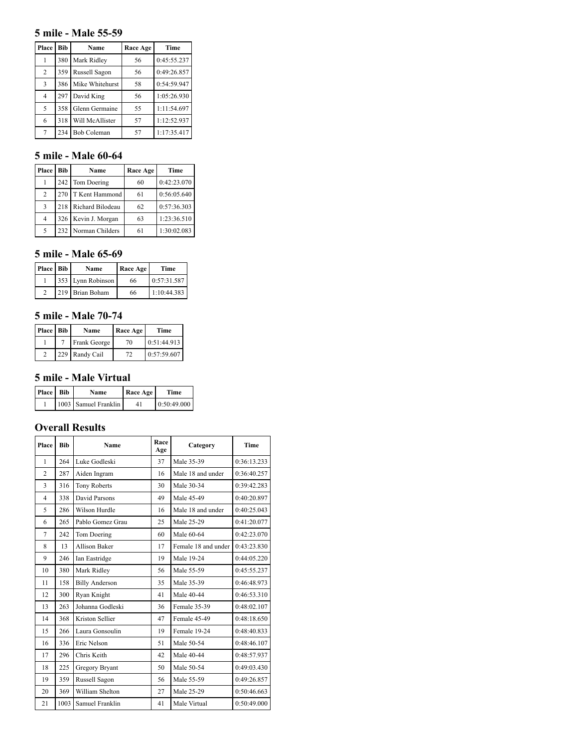#### **5 mile - Male 55-59**

| Place          | Bib | Name               | Race Age | Time        |
|----------------|-----|--------------------|----------|-------------|
| 1              | 380 | Mark Ridley        | 56       | 0:45:55.237 |
| $\overline{c}$ | 359 | Russell Sagon      | 56       | 0:49:26.857 |
| 3              | 386 | Mike Whitehurst    | 58       | 0:54:59.947 |
| 4              | 297 | David King         | 56       | 1:05:26.930 |
| 5              | 358 | Glenn Germaine     | 55       | 1:11:54.697 |
| 6              | 318 | Will McAllister    | 57       | 1:12:52.937 |
| 7              | 234 | <b>Bob Coleman</b> | 57       | 1:17:35.417 |

## **5 mile - Male 60-64**

| Place          | <b>Bib</b> | Name             | Race Age | Time        |
|----------------|------------|------------------|----------|-------------|
|                |            | 242 Tom Doering  | 60       | 0:42:23.070 |
| 2              | 270        | T Kent Hammond   | 61       | 0:56:05.640 |
| 3              | 218        | Richard Bilodeau | 62       | 0:57:36.303 |
| $\overline{4}$ | 326        | Kevin J. Morgan  | 63       | 1:23:36.510 |
| 5              | 232        | Norman Childers  | 61       | 1:30:02.083 |

## **5 mile - Male 65-69**

| Place Bib | Name              | Race Age | Time        |
|-----------|-------------------|----------|-------------|
|           | 353 Lynn Robinson | 66       | 0:57:31.587 |
|           | 219 Brian Boham   | 66       | 1:10:44.383 |

#### **5 mile - Male 70-74**

| Place Bib | Name           | Race Age | Time        |
|-----------|----------------|----------|-------------|
|           | Frank George   | 70       | 0:51:44.913 |
|           | 229 Randy Cail | 72       | 0:57:59.607 |

## **5 mile - Male Virtual**

| Place Bib | Name                 | <b>Race Age</b> | Time        |
|-----------|----------------------|-----------------|-------------|
|           | 1003 Samuel Franklin | 41              | 0:50:49.000 |

## **Overall Results**

| Place          | <b>Bib</b> | Name                  | Race<br>Age | Category            | <b>Time</b> |
|----------------|------------|-----------------------|-------------|---------------------|-------------|
| $\mathbf{1}$   | 264        | Luke Godleski         | 37          | Male 35-39          | 0:36:13.233 |
| $\overline{c}$ | 287        | Aiden Ingram          | 16          | Male 18 and under   | 0:36:40.257 |
| 3              | 316        | <b>Tony Roberts</b>   | 30          | Male 30-34          | 0:39:42.283 |
| $\overline{4}$ | 338        | David Parsons         | 49          | Male 45-49          | 0:40:20.897 |
| 5              | 286        | Wilson Hurdle         | 16          | Male 18 and under   | 0:40:25.043 |
| 6              | 265        | Pablo Gomez Grau      | 25          | Male 25-29          | 0:41:20.077 |
| $\overline{7}$ | 242        | Tom Doering           | 60          | Male 60-64          | 0:42:23.070 |
| 8              | 13         | <b>Allison Baker</b>  | 17          | Female 18 and under | 0:43:23.830 |
| 9              | 246        | Ian Eastridge         | 19          | Male 19-24          | 0:44:05.220 |
| 10             | 380        | Mark Ridley           | 56          | Male 55-59          | 0:45:55.237 |
| 11             | 158        | <b>Billy Anderson</b> | 35          | Male 35-39          | 0:46:48.973 |
| 12             | 300        | Ryan Knight           | 41          | Male 40-44          | 0:46:53.310 |
| 13             | 263        | Johanna Godleski      | 36          | Female 35-39        | 0:48:02.107 |
| 14             | 368        | Kriston Sellier       | 47          | Female 45-49        | 0:48:18.650 |
| 15             | 266        | Laura Gonsoulin       | 19          | Female 19-24        | 0:48:40.833 |
| 16             | 336        | Eric Nelson           | 51          | Male 50-54          | 0:48:46.107 |
| 17             | 296        | Chris Keith           | 42          | Male 40-44          | 0:48:57.937 |
| 18             | 225        | Gregory Bryant        | 50          | Male 50-54          | 0:49:03.430 |
| 19             | 359        | Russell Sagon         | 56          | Male 55-59          | 0:49:26.857 |
| 20             | 369        | William Shelton       | 27          | Male 25-29          | 0:50:46.663 |
| 21             | 1003       | Samuel Franklin       | 41          | Male Virtual        | 0:50:49.000 |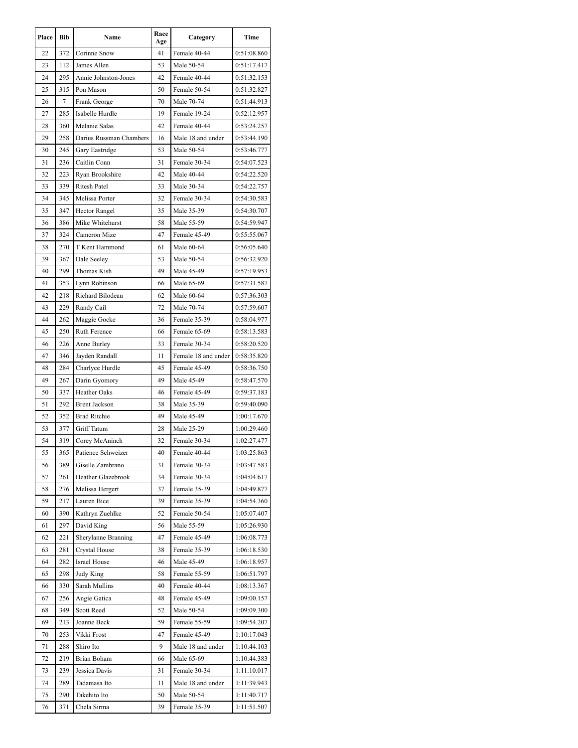| Place | Bib        | Name                                   | Race<br>Age | Category<br>Time             |             |
|-------|------------|----------------------------------------|-------------|------------------------------|-------------|
| 22    | 372        | Corinne Snow                           | 41          | Female 40-44                 | 0:51:08.860 |
| 23    | 112        | James Allen                            | 53          | Male 50-54                   | 0:51:17.417 |
| 24    | 295        | Annie Johnston-Jones                   | 42          | Female 40-44                 | 0:51:32.153 |
| 25    | 315        | Pon Mason                              | 50          | Female 50-54                 | 0:51:32.827 |
| 26    | 7          | Frank George                           | 70          | Male 70-74                   | 0:51:44.913 |
| 27    | 285        | Isabelle Hurdle                        | 19          | Female 19-24                 | 0:52:12.957 |
| 28    | 360        | Melanie Salas                          | 42          | Female 40-44                 | 0:53:24.257 |
| 29    | 258        | Darius Russman Chambers                | 16          | Male 18 and under            | 0:53:44.190 |
| 30    | 245        | Gary Eastridge                         | 53          | Male 50-54                   | 0:53:46.777 |
| 31    | 236        | Caitlin Conn                           | 31          | Female 30-34                 | 0:54:07.523 |
| 32    | 223        | Ryan Brookshire                        | 42          | Male 40-44                   | 0:54:22.520 |
| 33    | 339        | Ritesh Patel                           | 33          | Male 30-34                   | 0:54:22.757 |
| 34    | 345        | Melissa Porter                         | 32          | Female 30-34                 | 0:54:30.583 |
| 35    | 347        | Hector Rangel                          | 35          | Male 35-39                   | 0:54:30.707 |
| 36    | 386        | Mike Whitehurst                        | 58          | Male 55-59                   | 0:54:59.947 |
| 37    | 324        | Cameron Mize                           | 47          | Female 45-49                 | 0:55:55.067 |
| 38    | 270        | T Kent Hammond                         | 61          | Male 60-64                   | 0:56:05.640 |
| 39    | 367        | Dale Seeley                            | 53          | Male 50-54                   | 0:56:32.920 |
| 40    | 299        | Thomas Kish                            | 49          | Male 45-49                   | 0:57:19.953 |
| 41    | 353        | Lynn Robinson                          | 66          | Male 65-69                   | 0:57:31.587 |
| 42    | 218        | Richard Bilodeau                       | 62          | Male 60-64                   | 0:57:36.303 |
| 43    | 229        | Randy Cail                             | 72          | Male 70-74                   | 0:57:59.607 |
| 44    | 262        | Maggie Gocke                           | 36          | Female 35-39                 | 0:58:04.977 |
| 45    | 250        | Ruth Ference                           | 66          | Female 65-69                 | 0:58:13.583 |
| 46    | 226        | Anne Burley                            | 33          | Female 30-34                 | 0:58:20.520 |
| 47    | 346        | Jayden Randall                         | 11          | Female 18 and under          | 0:58:35.820 |
| 48    | 284        | Charlyce Hurdle                        | 45          | Female 45-49                 | 0:58:36.750 |
| 49    | 267        | Darin Gyomory                          | 49          | Male 45-49                   | 0:58:47.570 |
| 50    | 337        | Heather Oaks                           | 46          | Female 45-49                 | 0:59:37.183 |
| 51    | 292        | <b>Brent Jackson</b>                   | 38          | Male 35-39                   | 0:59:40.090 |
| 52    | 352        | <b>Brad Ritchie</b>                    | 49          | Male 45-49                   | 1:00:17.670 |
| 53    | 377        | Griff Tatum                            | 28          | Male 25-29                   | 1:00:29.460 |
| 54    | 319        |                                        | 32          | Female 30-34                 | 1:02:27.477 |
| 55    |            | Corey McAninch                         |             |                              |             |
|       | 365<br>389 | Patience Schweizer<br>Giselle Zambrano | 40          | Female 40-44<br>Female 30-34 | 1:03:25.863 |
| 56    |            |                                        | 31          |                              | 1:03:47.583 |
| 57    | 261        | Heather Glazebrook                     | 34          | Female 30-34<br>Female 35-39 | 1:04:04.617 |
| 58    | 276        | Melissa Hergert                        | 37          |                              | 1:04:49.877 |
| 59    | 217        | Lauren Bice                            | 39          | Female 35-39                 | 1:04:54.360 |
| 60    | 390        | Kathryn Zuehlke                        | 52          | Female 50-54                 | 1:05:07.407 |
| 61    | 297        | David King                             | 56          | Male 55-59                   | 1:05:26.930 |
| 62    | 221        | Sherylanne Branning                    | 47          | Female 45-49                 | 1:06:08.773 |
| 63    | 281        | Crystal House                          | 38          | Female 35-39                 | 1:06:18.530 |
| 64    | 282        | <b>Israel House</b>                    | 46          | Male 45-49                   | 1:06:18.957 |
| 65    | 298        | Judy King                              | 58          | Female 55-59                 | 1:06:51.797 |
| 66    | 330        | Sarah Mullins                          | 40          | Female 40-44                 | 1:08:13.367 |
| 67    | 256        | Angie Gatica                           | 48          | Female 45-49                 | 1:09:00.157 |
| 68    | 349        | Scott Reed                             | 52          | Male 50-54                   | 1:09:09.300 |
| 69    | 213        | Joanne Beck                            | 59          | Female 55-59                 | 1:09:54.207 |
| 70    | 253        | Vikki Frost                            | 47          | Female 45-49                 | 1:10:17.043 |
| 71    | 288        | Shiro Ito                              | 9           | Male 18 and under            | 1:10:44.103 |
| 72    | 219        | Brian Boham                            | 66          | Male 65-69                   | 1:10:44.383 |
| 73    | 239        | Jessica Davis                          | 31          | Female 30-34                 | 1:11:10.017 |
| 74    | 289        | Tadamasa Ito                           | 11          | Male 18 and under            | 1:11:39.943 |
|       |            |                                        |             |                              |             |
| 75    | 290        | Takehito Ito<br>Chela Sirma            | 50<br>39    | Male 50-54                   | 1:11:40.717 |